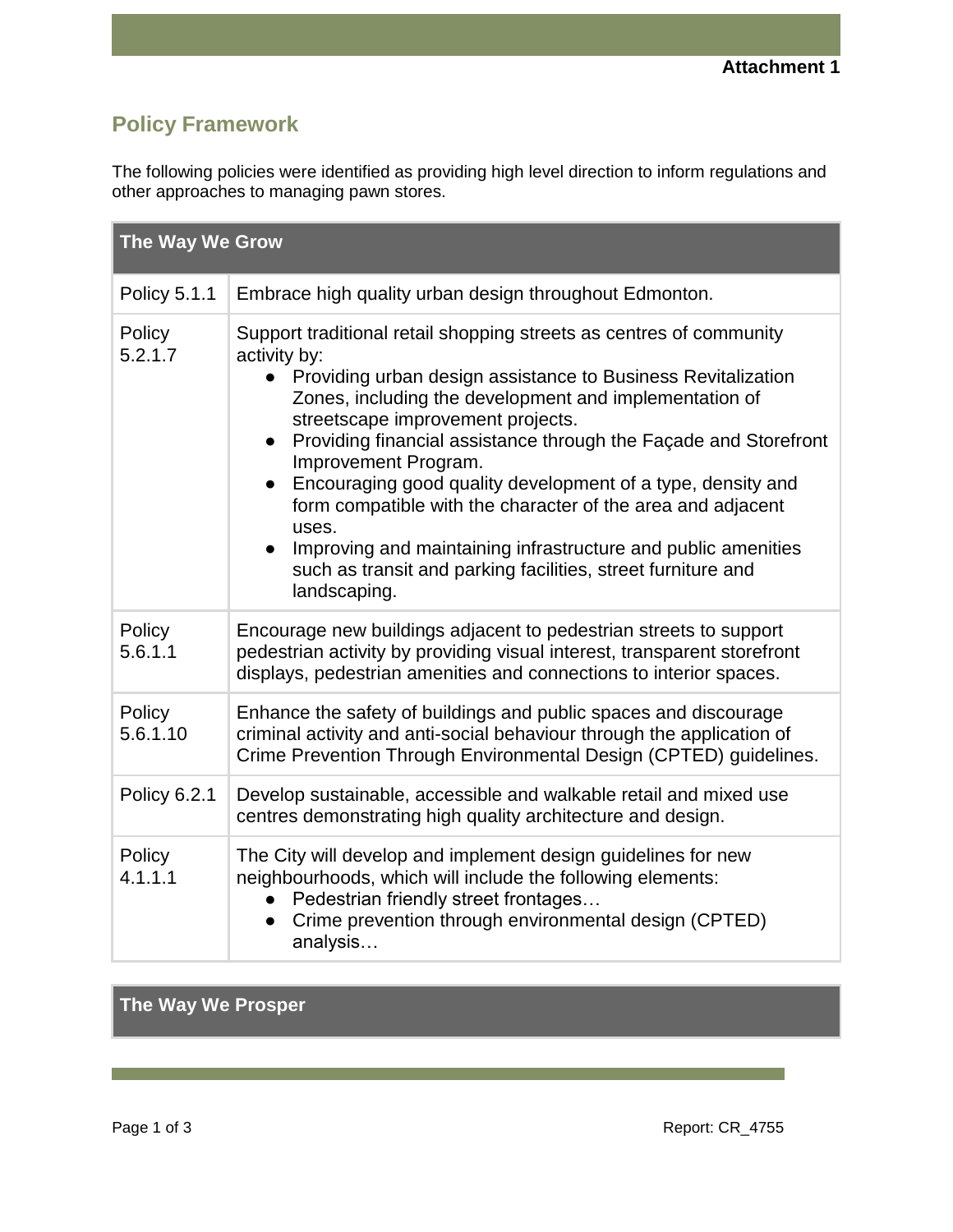## **Policy Framework**

The following policies were identified as providing high level direction to inform regulations and other approaches to managing pawn stores.

| The Way We Grow     |                                                                                                                                                                                                                                                                                                                                                                                                                                                                                                                                                                                                                                                                    |  |
|---------------------|--------------------------------------------------------------------------------------------------------------------------------------------------------------------------------------------------------------------------------------------------------------------------------------------------------------------------------------------------------------------------------------------------------------------------------------------------------------------------------------------------------------------------------------------------------------------------------------------------------------------------------------------------------------------|--|
| Policy 5.1.1        | Embrace high quality urban design throughout Edmonton.                                                                                                                                                                                                                                                                                                                                                                                                                                                                                                                                                                                                             |  |
| Policy<br>5.2.1.7   | Support traditional retail shopping streets as centres of community<br>activity by:<br>• Providing urban design assistance to Business Revitalization<br>Zones, including the development and implementation of<br>streetscape improvement projects.<br>Providing financial assistance through the Façade and Storefront<br>$\bullet$<br>Improvement Program.<br>Encouraging good quality development of a type, density and<br>form compatible with the character of the area and adjacent<br>uses.<br>Improving and maintaining infrastructure and public amenities<br>$\bullet$<br>such as transit and parking facilities, street furniture and<br>landscaping. |  |
| Policy<br>5.6.1.1   | Encourage new buildings adjacent to pedestrian streets to support<br>pedestrian activity by providing visual interest, transparent storefront<br>displays, pedestrian amenities and connections to interior spaces.                                                                                                                                                                                                                                                                                                                                                                                                                                                |  |
| Policy<br>5.6.1.10  | Enhance the safety of buildings and public spaces and discourage<br>criminal activity and anti-social behaviour through the application of<br>Crime Prevention Through Environmental Design (CPTED) guidelines.                                                                                                                                                                                                                                                                                                                                                                                                                                                    |  |
| <b>Policy 6.2.1</b> | Develop sustainable, accessible and walkable retail and mixed use<br>centres demonstrating high quality architecture and design.                                                                                                                                                                                                                                                                                                                                                                                                                                                                                                                                   |  |
| Policy<br>4.1.1.1   | The City will develop and implement design guidelines for new<br>neighbourhoods, which will include the following elements:<br>Pedestrian friendly street frontages<br>Crime prevention through environmental design (CPTED)<br>analysis                                                                                                                                                                                                                                                                                                                                                                                                                           |  |

**The Way We Prosper**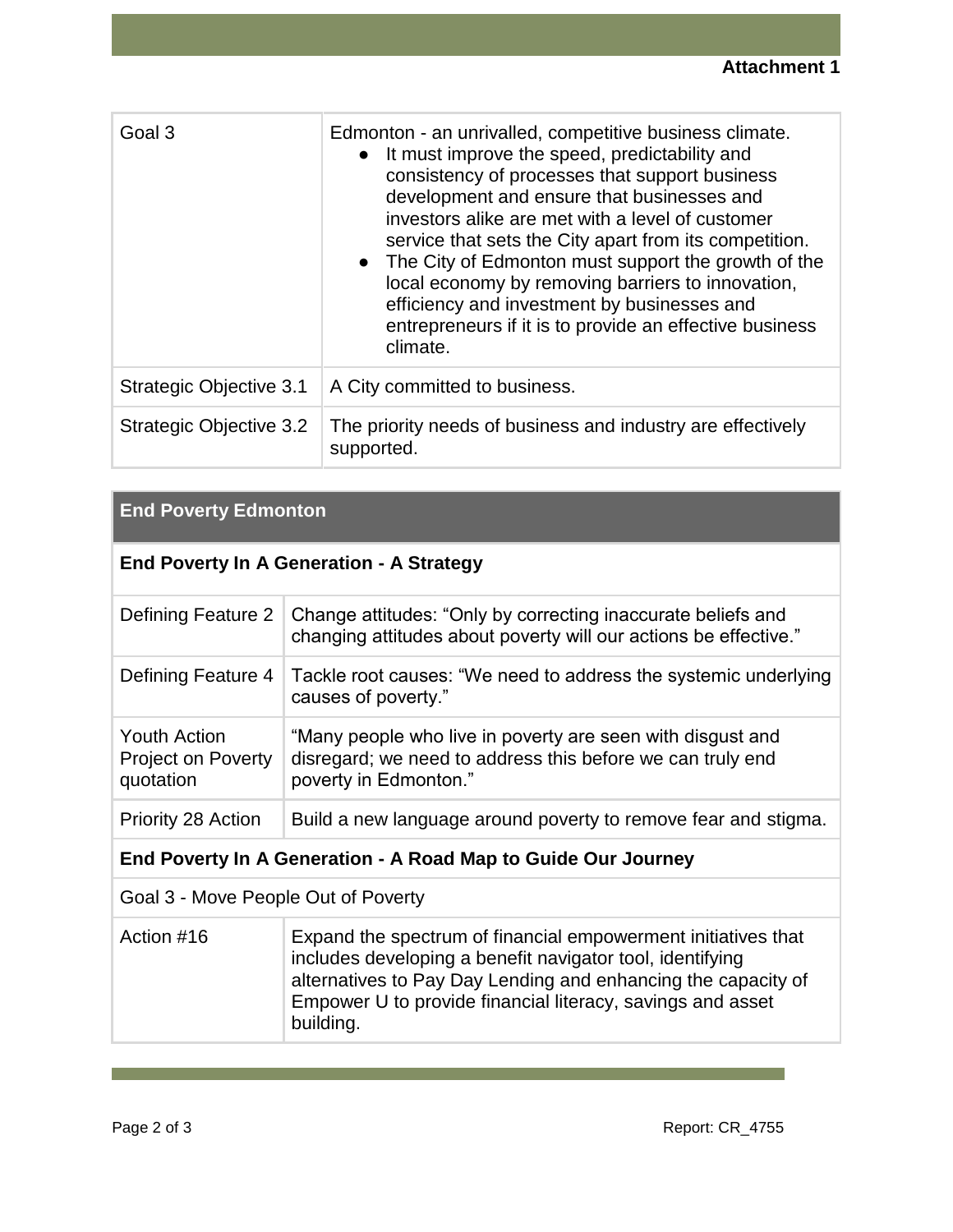| Goal 3                  | Edmonton - an unrivalled, competitive business climate.<br>It must improve the speed, predictability and<br>$\bullet$<br>consistency of processes that support business<br>development and ensure that businesses and<br>investors alike are met with a level of customer<br>service that sets the City apart from its competition.<br>• The City of Edmonton must support the growth of the<br>local economy by removing barriers to innovation,<br>efficiency and investment by businesses and<br>entrepreneurs if it is to provide an effective business<br>climate. |
|-------------------------|-------------------------------------------------------------------------------------------------------------------------------------------------------------------------------------------------------------------------------------------------------------------------------------------------------------------------------------------------------------------------------------------------------------------------------------------------------------------------------------------------------------------------------------------------------------------------|
| Strategic Objective 3.1 | A City committed to business.                                                                                                                                                                                                                                                                                                                                                                                                                                                                                                                                           |
| Strategic Objective 3.2 | The priority needs of business and industry are effectively<br>supported.                                                                                                                                                                                                                                                                                                                                                                                                                                                                                               |

## **End Poverty Edmonton**

| <b>End Poverty In A Generation - A Strategy</b>               |                                                                                                                                                   |  |  |  |
|---------------------------------------------------------------|---------------------------------------------------------------------------------------------------------------------------------------------------|--|--|--|
| Defining Feature 2                                            | Change attitudes: "Only by correcting inaccurate beliefs and<br>changing attitudes about poverty will our actions be effective."                  |  |  |  |
| Defining Feature 4                                            | Tackle root causes: "We need to address the systemic underlying<br>causes of poverty."                                                            |  |  |  |
| <b>Youth Action</b><br><b>Project on Poverty</b><br>quotation | "Many people who live in poverty are seen with disgust and<br>disregard; we need to address this before we can truly end<br>poverty in Edmonton." |  |  |  |
| Priority 28 Action                                            | Build a new language around poverty to remove fear and stigma.                                                                                    |  |  |  |
| End Poverty In A Generation - A Road Map to Guide Our Journey |                                                                                                                                                   |  |  |  |
| Goal 3 - Move People Out of Poverty                           |                                                                                                                                                   |  |  |  |
| Action #16                                                    | Expand the spectrum of financial empowerment initiatives that                                                                                     |  |  |  |

| Action #16 | Expand the spectrum of financial empowerment initiatives that |
|------------|---------------------------------------------------------------|
|            | includes developing a benefit navigator tool, identifying     |
|            | alternatives to Pay Day Lending and enhancing the capacity of |
|            | Empower U to provide financial literacy, savings and asset    |
|            | building.                                                     |
|            |                                                               |